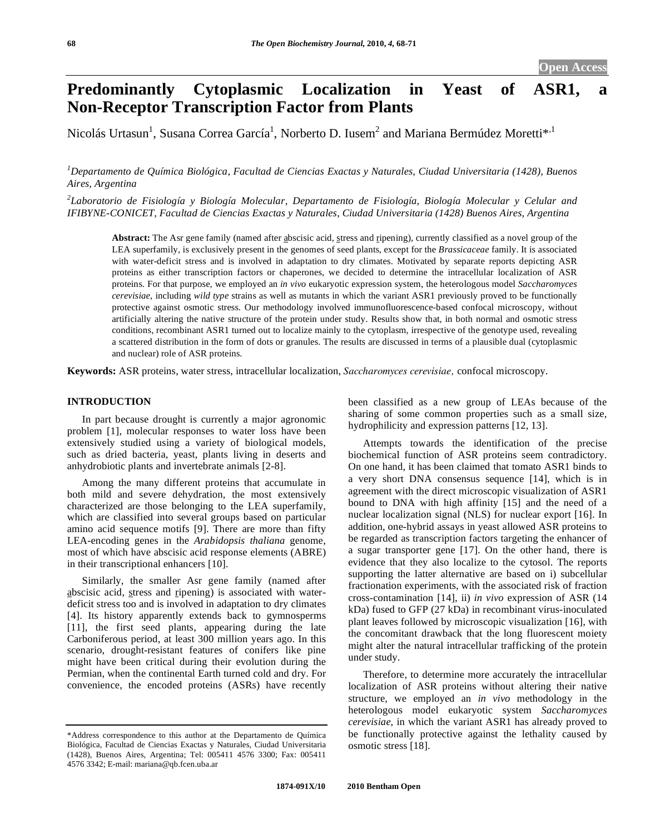# **Predominantly Cytoplasmic Localization in Yeast of ASR1, a Non-Receptor Transcription Factor from Plants**

Nicolás Urtasun<sup>1</sup>, Susana Correa García<sup>1</sup>, Norberto D. Iusem<sup>2</sup> and Mariana Bermúdez Moretti\*<sup>,1</sup>

*1 Departamento de Química Biológica, Facultad de Ciencias Exactas y Naturales, Ciudad Universitaria (1428), Buenos Aires, Argentina* 

*2 Laboratorio de Fisiología y Biología Molecular, Departamento de Fisiología, Biología Molecular y Celular and IFIBYNE-CONICET, Facultad de Ciencias Exactas y Naturales, Ciudad Universitaria (1428) Buenos Aires, Argentina* 

Abstract: The Asr gene family (named after abscisic acid, stress and ripening), currently classified as a novel group of the LEA superfamily, is exclusively present in the genomes of seed plants, except for the *Brassicaceae* family. It is associated with water-deficit stress and is involved in adaptation to dry climates. Motivated by separate reports depicting ASR proteins as either transcription factors or chaperones, we decided to determine the intracellular localization of ASR proteins. For that purpose, we employed an *in vivo* eukaryotic expression system, the heterologous model *Saccharomyces cerevisiae*, including *wild type* strains as well as mutants in which the variant ASR1 previously proved to be functionally protective against osmotic stress. Our methodology involved immunofluorescence-based confocal microscopy, without artificially altering the native structure of the protein under study. Results show that, in both normal and osmotic stress conditions, recombinant ASR1 turned out to localize mainly to the cytoplasm, irrespective of the genotype used, revealing a scattered distribution in the form of dots or granules. The results are discussed in terms of a plausible dual (cytoplasmic and nuclear) role of ASR proteins.

**Keywords:** ASR proteins, water stress, intracellular localization, *Saccharomyces cerevisiae,* confocal microscopy.

# **INTRODUCTION**

 In part because drought is currently a major agronomic problem [1], molecular responses to water loss have been extensively studied using a variety of biological models, such as dried bacteria, yeast, plants living in deserts and anhydrobiotic plants and invertebrate animals [2-8].

 Among the many different proteins that accumulate in both mild and severe dehydration, the most extensively characterized are those belonging to the LEA superfamily, which are classified into several groups based on particular amino acid sequence motifs [9]. There are more than fifty LEA-encoding genes in the *Arabidopsis thaliana* genome, most of which have abscisic acid response elements (ABRE) in their transcriptional enhancers [10].

 Similarly, the smaller Asr gene family (named after abscisic acid, stress and ripening) is associated with waterdeficit stress too and is involved in adaptation to dry climates [4]. Its history apparently extends back to gymnosperms [11], the first seed plants, appearing during the late Carboniferous period, at least 300 million years ago. In this scenario, drought-resistant features of conifers like pine might have been critical during their evolution during the Permian, when the continental Earth turned cold and dry. For convenience, the encoded proteins (ASRs) have recently

been classified as a new group of LEAs because of the sharing of some common properties such as a small size, hydrophilicity and expression patterns [12, 13].

 Attempts towards the identification of the precise biochemical function of ASR proteins seem contradictory. On one hand, it has been claimed that tomato ASR1 binds to a very short DNA consensus sequence [14], which is in agreement with the direct microscopic visualization of ASR1 bound to DNA with high affinity [15] and the need of a nuclear localization signal (NLS) for nuclear export [16]. In addition, one-hybrid assays in yeast allowed ASR proteins to be regarded as transcription factors targeting the enhancer of a sugar transporter gene [17]. On the other hand, there is evidence that they also localize to the cytosol. The reports supporting the latter alternative are based on i) subcellular fractionation experiments, with the associated risk of fraction cross-contamination [14], ii) *in vivo* expression of ASR (14 kDa) fused to GFP (27 kDa) in recombinant virus-inoculated plant leaves followed by microscopic visualization [16], with the concomitant drawback that the long fluorescent moiety might alter the natural intracellular trafficking of the protein under study.

 Therefore, to determine more accurately the intracellular localization of ASR proteins without altering their native structure, we employed an *in vivo* methodology in the heterologous model eukaryotic system *Saccharomyces cerevisiae*, in which the variant ASR1 has already proved to be functionally protective against the lethality caused by osmotic stress [18].

<sup>\*</sup>Address correspondence to this author at the Departamento de Química Biológica, Facultad de Ciencias Exactas y Naturales, Ciudad Universitaria (1428), Buenos Aires, Argentina; Tel: 005411 4576 3300; Fax: 005411 4576 3342; E-mail: mariana@qb.fcen.uba.ar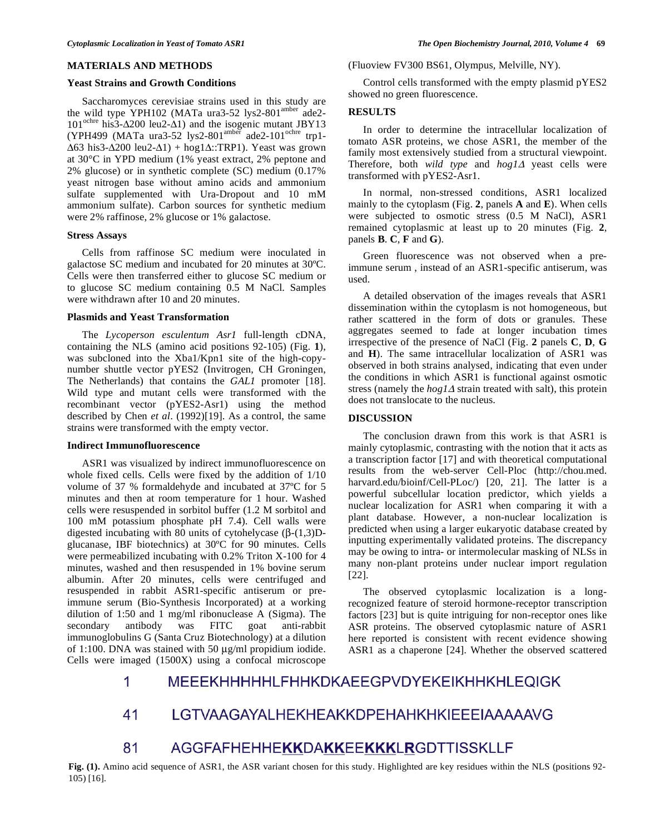# **MATERIALS AND METHODS**

### **Yeast Strains and Growth Conditions**

 Saccharomyces cerevisiae strains used in this study are the wild type YPH102 (MATa ura3-52 lys2-801<sup>amber</sup> ade2- $101^{\text{ochre}}$  his $3-\Delta 200$  leu2- $\Delta 1$ ) and the isogenic mutant JBY13 (YPH499 (MATa ura3-52 lys2-801<sup>amber</sup> ade2-101<sup>ochre</sup> trp1- $\Delta 63$  his3- $\Delta 200$  leu2- $\Delta 1$ ) + hog1 $\Delta$ ::TRP1). Yeast was grown at 30°C in YPD medium (1% yeast extract, 2% peptone and 2% glucose) or in synthetic complete (SC) medium (0.17% yeast nitrogen base without amino acids and ammonium sulfate supplemented with Ura-Dropout and 10 mM ammonium sulfate). Carbon sources for synthetic medium were 2% raffinose, 2% glucose or 1% galactose.

### **Stress Assays**

 Cells from raffinose SC medium were inoculated in galactose SC medium and incubated for 20 minutes at 30ºC. Cells were then transferred either to glucose SC medium or to glucose SC medium containing 0.5 M NaCl. Samples were withdrawn after 10 and 20 minutes.

### **Plasmids and Yeast Transformation**

 The *Lycoperson esculentum Asr1* full-length cDNA, containing the NLS (amino acid positions 92-105) (Fig. **1**), was subcloned into the Xba1/Kpn1 site of the high-copynumber shuttle vector pYES2 (Invitrogen, CH Groningen, The Netherlands) that contains the *GAL1* promoter [18]. Wild type and mutant cells were transformed with the recombinant vector (pYES2-Asr1) using the method described by Chen *et al*. (1992)[19]. As a control, the same strains were transformed with the empty vector.

# **Indirect Immunofluorescence**

 ASR1 was visualized by indirect immunofluorescence on whole fixed cells. Cells were fixed by the addition of 1/10 volume of 37 % formaldehyde and incubated at 37ºC for 5 minutes and then at room temperature for 1 hour. Washed cells were resuspended in sorbitol buffer (1.2 M sorbitol and 100 mM potassium phosphate pH 7.4). Cell walls were digested incubating with 80 units of cytohelycase  $(\beta-(1,3)D$ glucanase, IBF biotechnics) at 30ºC for 90 minutes. Cells were permeabilized incubating with 0.2% Triton X-100 for 4 minutes, washed and then resuspended in 1% bovine serum albumin. After 20 minutes, cells were centrifuged and resuspended in rabbit ASR1-specific antiserum or preimmune serum (Bio-Synthesis Incorporated) at a working dilution of 1:50 and 1 mg/ml ribonuclease A (Sigma). The secondary antibody was FITC goat anti-rabbit immunoglobulins G (Santa Cruz Biotechnology) at a dilution of 1:100. DNA was stained with 50 μg/ml propidium iodide. Cells were imaged (1500X) using a confocal microscope

(Fluoview FV300 BS61, Olympus, Melville, NY).

 Control cells transformed with the empty plasmid pYES2 showed no green fluorescence.

# **RESULTS**

 In order to determine the intracellular localization of tomato ASR proteins, we chose ASR1, the member of the family most extensively studied from a structural viewpoint. Therefore, both *wild type* and  $\frac{h}{g}$  yeast cells were transformed with pYES2-Asr1.

 In normal, non-stressed conditions, ASR1 localized mainly to the cytoplasm (Fig. **2**, panels **A** and **E**). When cells were subjected to osmotic stress (0.5 M NaCl), ASR1 remained cytoplasmic at least up to 20 minutes (Fig. **2**, panels **B**. **C**, **F** and **G**).

 Green fluorescence was not observed when a preimmune serum , instead of an ASR1-specific antiserum, was used.

 A detailed observation of the images reveals that ASR1 dissemination within the cytoplasm is not homogeneous, but rather scattered in the form of dots or granules. These aggregates seemed to fade at longer incubation times irrespective of the presence of NaCl (Fig. **2** panels **C**, **D**, **G** and **H**). The same intracellular localization of ASR1 was observed in both strains analysed, indicating that even under the conditions in which ASR1 is functional against osmotic stress (namely the  $\log 1\Delta$  strain treated with salt), this protein does not translocate to the nucleus.

# **DISCUSSION**

 The conclusion drawn from this work is that ASR1 is mainly cytoplasmic, contrasting with the notion that it acts as a transcription factor [17] and with theoretical computational results from the web-server Cell-Ploc (http://chou.med. harvard.edu/bioinf/Cell-PLoc/) [20, 21]. The latter is a powerful subcellular location predictor, which yields a nuclear localization for ASR1 when comparing it with a plant database. However, a non-nuclear localization is predicted when using a larger eukaryotic database created by inputting experimentally validated proteins. The discrepancy may be owing to intra- or intermolecular masking of NLSs in many non-plant proteins under nuclear import regulation [22].

 The observed cytoplasmic localization is a longrecognized feature of steroid hormone-receptor transcription factors [23] but is quite intriguing for non-receptor ones like ASR proteins. The observed cytoplasmic nature of ASR1 here reported is consistent with recent evidence showing ASR1 as a chaperone [24]. Whether the observed scattered

#### MEEEKHHHHHLFHHKDKAEEGPVDYEKEIKHHKHLEQIGK 1

#### 41 LGTVAAGAYALHEKHEAKKDPEHAHKHKIEEEIAAAAAVG

#### 81 **AGGFAFHEHHEKKDAKKEEKKKLRGDTTISSKLLF**

**Fig. (1).** Amino acid sequence of ASR1, the ASR variant chosen for this study. Highlighted are key residues within the NLS (positions 92- 105) [16].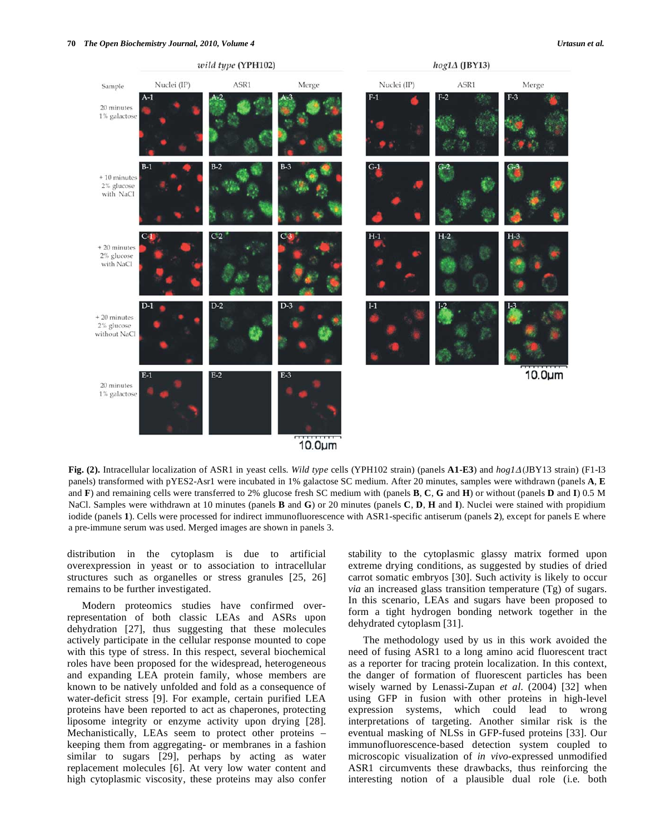

**Fig. (2).** Intracellular localization of ASR1 in yeast cells. *Wild type* cells (YPH102 strain) (panels **A1-E3**) and *hog1* (JBY13 strain) (F1-I3 panels) transformed with pYES2-Asr1 were incubated in 1% galactose SC medium. After 20 minutes, samples were withdrawn (panels **A**, **E** and **F**) and remaining cells were transferred to 2% glucose fresh SC medium with (panels **B**, **C**, **G** and **H**) or without (panels **D** and **I**) 0.5 M NaCl. Samples were withdrawn at 10 minutes (panels **B** and **G**) or 20 minutes (panels **C**, **D**, **H** and **I**). Nuclei were stained with propidium iodide (panels **1**). Cells were processed for indirect immunofluorescence with ASR1-specific antiserum (panels **2**), except for panels E where a pre-immune serum was used. Merged images are shown in panels 3.

distribution in the cytoplasm is due to artificial overexpression in yeast or to association to intracellular structures such as organelles or stress granules [25, 26] remains to be further investigated.

 Modern proteomics studies have confirmed overrepresentation of both classic LEAs and ASRs upon dehydration [27], thus suggesting that these molecules actively participate in the cellular response mounted to cope with this type of stress. In this respect, several biochemical roles have been proposed for the widespread, heterogeneous and expanding LEA protein family, whose members are known to be natively unfolded and fold as a consequence of water-deficit stress [9]. For example, certain purified LEA proteins have been reported to act as chaperones, protecting liposome integrity or enzyme activity upon drying [28]. Mechanistically, LEAs seem to protect other proteins – keeping them from aggregating- or membranes in a fashion similar to sugars [29], perhaps by acting as water replacement molecules [6]. At very low water content and high cytoplasmic viscosity, these proteins may also confer

stability to the cytoplasmic glassy matrix formed upon extreme drying conditions, as suggested by studies of dried carrot somatic embryos [30]. Such activity is likely to occur *via* an increased glass transition temperature (Tg) of sugars. In this scenario, LEAs and sugars have been proposed to form a tight hydrogen bonding network together in the dehydrated cytoplasm [31].

 The methodology used by us in this work avoided the need of fusing ASR1 to a long amino acid fluorescent tract as a reporter for tracing protein localization. In this context, the danger of formation of fluorescent particles has been wisely warned by Lenassi-Zupan *et al*. (2004) [32] when using GFP in fusion with other proteins in high-level expression systems, which could lead to wrong interpretations of targeting. Another similar risk is the eventual masking of NLSs in GFP-fused proteins [33]. Our immunofluorescence-based detection system coupled to microscopic visualization of *in vivo*-expressed unmodified ASR1 circumvents these drawbacks, thus reinforcing the interesting notion of a plausible dual role (i.e. both